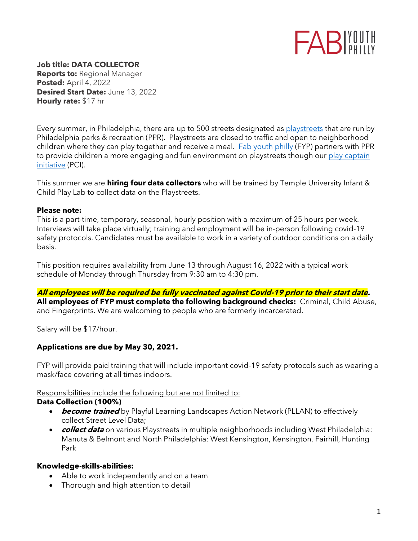

**Job title: DATA COLLECTOR Reports to:** Regional Manager **Posted:** April 4, 2022 **Desired Start Date:** June 13, 2022 **Hourly rate:** \$17 hr

Every summer, in Philadelphia, there are up to 500 streets designated as [playstreets](https://www.phila.gov/programs/playstreets/) that are run by Philadelphia parks & recreation (PPR). Playstreets are closed to traffic and open to neighborhood children where they can play together and receive a meal. [Fab youth philly](http://www.fabyouthphilly.com/) (FYP) partners with PPR to provide children a more engaging and fun environment on playstreets though our play captain [initiative](http://www.playcaptains.com/) (PCI).

This summer we are **hiring four data collectors** who will be trained by Temple University Infant & Child Play Lab to collect data on the Playstreets.

#### **Please note:**

This is a part-time, temporary, seasonal, hourly position with a maximum of 25 hours per week. Interviews will take place virtually; training and employment will be in-person following covid-19 safety protocols. Candidates must be available to work in a variety of outdoor conditions on a daily basis.

This position requires availability from June 13 through August 16, 2022 with a typical work schedule of Monday through Thursday from 9:30 am to 4:30 pm.

**All employees will be required be fully vaccinated against Covid-19 prior to their start date. All employees of FYP must complete the following background checks:** Criminal, Child Abuse, and Fingerprints. We are welcoming to people who are formerly incarcerated.

Salary will be \$17/hour.

## **Applications are due by May 30, 2021.**

FYP will provide paid training that will include important covid-19 safety protocols such as wearing a mask/face covering at all times indoors.

#### Responsibilities include the following but are not limited to:

#### **Data Collection (100%)**

- **become trained** by Playful Learning Landscapes Action Network (PLLAN) to effectively collect Street Level Data;
- **collect data** on various Playstreets in multiple neighborhoods including West Philadelphia: Manuta & Belmont and North Philadelphia: West Kensington, Kensington, Fairhill, Hunting Park

#### **Knowledge-skills-abilities:**

- Able to work independently and on a team
- Thorough and high attention to detail